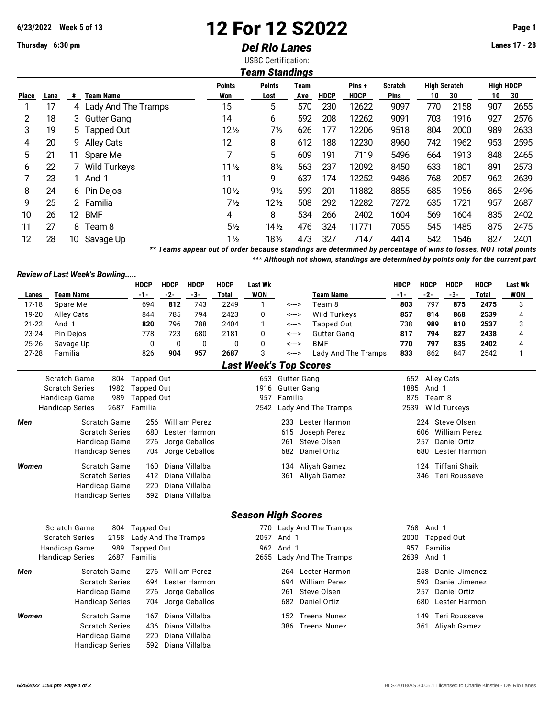## **6/23/2022 Week 5 of 13 12 For 12 S2022 Page 1**

## **Thursday 6:30 pm** *Del Rio Lanes* **Lanes 17 - 28**

USBC Certification:

| Team Standings       |    |     |                       |                 |                 |      |             |             |         |                     |      |                  |      |
|----------------------|----|-----|-----------------------|-----------------|-----------------|------|-------------|-------------|---------|---------------------|------|------------------|------|
|                      |    |     |                       | <b>Points</b>   | <b>Points</b>   | Team |             | Pins +      | Scratch | <b>High Scratch</b> |      | <b>High HDCP</b> |      |
| <b>Place</b><br>Lane |    | #   | <b>Team Name</b>      | Won             | Lost            | Ave  | <b>HDCP</b> | <b>HDCP</b> | Pins    | 10                  | 30   | 10               | 30   |
|                      | 17 |     | 4 Lady And The Tramps | 15              | 5               | 570  | 230         | 12622       | 9097    | 770                 | 2158 | 907              | 2655 |
| 2                    | 18 |     | 3 Gutter Gang         | 14              | 6               | 592  | 208         | 12262       | 9091    | 703                 | 1916 | 927              | 2576 |
| 3                    | 19 |     | 5 Tapped Out          | $12\frac{1}{2}$ | 7½              | 626  | 177         | 12206       | 9518    | 804                 | 2000 | 989              | 2633 |
| 4                    | 20 | 9.  | Alley Cats            | 12              | 8               | 612  | 188         | 12230       | 8960    | 742                 | 1962 | 953              | 2595 |
| 5                    | 21 | 11  | Spare Me              | 7               | 5               | 609  | 191         | 7119        | 5496    | 664                 | 1913 | 848              | 2465 |
| 6                    | 22 |     | Wild Turkeys          | $11\frac{1}{2}$ | $8\frac{1}{2}$  | 563  | 237         | 12092       | 8450    | 633                 | 1801 | 891              | 2573 |
|                      | 23 |     | 1 And 1               | 11              | 9               | 637  | 174         | 12252       | 9486    | 768                 | 2057 | 962              | 2639 |
| 8                    | 24 |     | 6 Pin Dejos           | $10\frac{1}{2}$ | $9\frac{1}{2}$  | 599  | 201         | 11882       | 8855    | 685                 | 1956 | 865              | 2496 |
| 9                    | 25 |     | 2 Familia             | 7½              | $12\frac{1}{2}$ | 508  | 292         | 12282       | 7272    | 635                 | 1721 | 957              | 2687 |
| 10                   | 26 | 12. | <b>BMF</b>            | 4               | 8               | 534  | 266         | 2402        | 1604    | 569                 | 1604 | 835              | 2402 |
| 11                   | 27 | 8   | Team 8                | $5\frac{1}{2}$  | $14\frac{1}{2}$ | 476  | 324         | 11771       | 7055    | 545                 | 1485 | 875              | 2475 |
| 12                   | 28 | 10  | Savage Up             | $1\frac{1}{2}$  | 181/2           | 473  | 327         | 7147        | 4414    | 542                 | 1546 | 827              | 2401 |

*\*\* Teams appear out of order because standings are determined by percentage of wins to losses, NOT total points \*\*\* Although not shown, standings are determined by points only for the current part*

*Review of Last Week's Bowling.....*

|               |                        |                        | <b>HDCP</b>         | <b>HDCP</b> | <b>HDCP</b>                                  | <b>HDCP</b>  | <b>Last Wk</b>            |                    |                               | <b>HDCP</b>          | <b>HDCP</b>                | <b>HDCP</b>          | <b>HDCP</b>  | <b>Last Wk</b> |  |  |  |
|---------------|------------------------|------------------------|---------------------|-------------|----------------------------------------------|--------------|---------------------------|--------------------|-------------------------------|----------------------|----------------------------|----------------------|--------------|----------------|--|--|--|
| Lanes         | <b>Team Name</b>       |                        | $-1-$               | $-2-$       | $-3-$                                        | <b>Total</b> | <b>WON</b>                |                    | <b>Team Name</b>              | $-1-$                | $-2-$                      | $-3-$                | <b>Total</b> | <b>WON</b>     |  |  |  |
| $17-18$       | Spare Me               |                        | 694                 | 812         | 743                                          | 2249         | 1                         | <--->              | Team 8                        | 803                  | 797                        | 875                  | 2475         | 3              |  |  |  |
| 19-20         | <b>Alley Cats</b>      |                        | 844                 | 785         | 794                                          | 2423         | 0                         | <--->              | Wild Turkeys                  | 857                  | 814                        | 868                  | 2539         | 4              |  |  |  |
| $21 - 22$     | And 1                  |                        | 820                 | 796         | 788                                          | 2404         | 1                         | <--->              | Tapped Out                    | 738                  | 989                        | 810                  | 2537         | 3              |  |  |  |
| 23-24         | Pin Dejos              |                        | 778                 | 723         | 680                                          | 2181         | 0                         | <--->              | <b>Gutter Gang</b>            | 817                  | 794                        | 827                  | 2438         | 4              |  |  |  |
| 25-26         | Savage Up              |                        | θ                   | θ           | $\theta$                                     | $\theta$     | 0                         | <--->              | <b>BMF</b>                    | 770                  | 797                        | 835                  | 2402         | 4              |  |  |  |
| $27 - 28$     | Familia                |                        | 826                 | 904         | 957                                          | 2687         | 3                         | <--->              | Lady And The Tramps           | 833                  | 862                        | 847                  | 2542         | 1              |  |  |  |
|               |                        |                        |                     |             |                                              |              |                           |                    | <b>Last Week's Top Scores</b> |                      |                            |                      |              |                |  |  |  |
|               | <b>Scratch Game</b>    | 804                    | <b>Tapped Out</b>   |             |                                              |              | 653                       | <b>Gutter Gang</b> |                               | 652                  | <b>Alley Cats</b>          |                      |              |                |  |  |  |
|               | <b>Scratch Series</b>  | 1982                   | <b>Tapped Out</b>   |             |                                              |              | 1916                      |                    | <b>Gutter Gang</b>            | 1885                 | And 1                      |                      |              |                |  |  |  |
|               | Handicap Game          | 989                    | <b>Tapped Out</b>   |             |                                              |              | 957                       | Familia            |                               | 875                  | Team 8                     |                      |              |                |  |  |  |
|               | <b>Handicap Series</b> | 2687                   | Familia             |             |                                              |              | 2542                      |                    | Lady And The Tramps           | 2539                 |                            | <b>Wild Turkeys</b>  |              |                |  |  |  |
| Men           |                        | <b>Scratch Game</b>    | 256                 |             | <b>William Perez</b>                         |              |                           | 233                | Lester Harmon                 | 224                  |                            |                      |              |                |  |  |  |
|               |                        | <b>Scratch Series</b>  | 680                 |             | Lester Harmon                                |              |                           | 615                | Joseph Perez                  |                      | 606                        | <b>William Perez</b> |              |                |  |  |  |
| Handicap Game |                        |                        | 276                 |             | Jorge Ceballos                               |              | Steve Olsen<br>261        |                    |                               |                      | <b>Daniel Ortiz</b><br>257 |                      |              |                |  |  |  |
|               |                        | <b>Handicap Series</b> |                     |             | Jorge Ceballos<br>Daniel Ortiz<br>682<br>704 |              |                           |                    |                               | Lester Harmon<br>680 |                            |                      |              |                |  |  |  |
| Women         |                        | Scratch Game           |                     |             | Diana Villalba<br>160                        |              |                           | 134                | Aliyah Gamez                  | 124                  |                            |                      |              |                |  |  |  |
|               |                        | <b>Scratch Series</b>  | 412                 |             | Diana Villalba                               |              |                           | 361                | Aliyah Gamez                  |                      | 346                        | <b>Teri Rousseve</b> |              |                |  |  |  |
|               |                        | Handicap Game          | 220                 |             | Diana Villalba                               |              |                           |                    |                               |                      |                            |                      |              |                |  |  |  |
|               |                        | <b>Handicap Series</b> | 592                 |             | Diana Villalba                               |              |                           |                    |                               |                      |                            |                      |              |                |  |  |  |
|               |                        |                        |                     |             |                                              |              | <b>Season High Scores</b> |                    |                               |                      |                            |                      |              |                |  |  |  |
|               | Scratch Game           | 804                    | <b>Tapped Out</b>   |             |                                              |              |                           |                    | 770 Lady And The Tramps       | 768                  | And 1                      |                      |              |                |  |  |  |
|               | <b>Scratch Series</b>  | 2158                   | Lady And The Tramps |             |                                              |              | 2057                      | And 1              |                               | 2000                 |                            | <b>Tapped Out</b>    |              |                |  |  |  |
|               | Handicap Game          | 989                    | <b>Tapped Out</b>   |             |                                              |              | 962                       | And 1              |                               | 957                  | Familia                    |                      |              |                |  |  |  |
|               | <b>Handicap Series</b> | 2687                   | Familia             |             |                                              |              | 2655                      |                    | Lady And The Tramps           | 2639                 | And 1                      |                      |              |                |  |  |  |
| Men           |                        | <b>Scratch Game</b>    | 276                 |             | <b>William Perez</b>                         |              |                           | 264                | Lester Harmon                 |                      | 258                        | Daniel Jimenez       |              |                |  |  |  |
|               |                        | <b>Scratch Series</b>  | 694                 |             | Lester Harmon                                |              |                           | 694                | <b>William Perez</b>          |                      | 593                        | Daniel Jimenez       |              |                |  |  |  |
|               |                        | Handicap Game          | 276                 |             | Jorge Ceballos                               |              |                           | 261                | Steve Olsen                   |                      | 257                        | <b>Daniel Ortiz</b>  |              |                |  |  |  |
|               |                        | <b>Handicap Series</b> | 704                 |             | Jorge Ceballos                               |              |                           | 682                | Daniel Ortiz                  |                      | 680                        | Lester Harmon        |              |                |  |  |  |
| Women         |                        | <b>Scratch Game</b>    | 167                 |             | Diana Villalba                               |              |                           | 152                | <b>Treena Nunez</b>           |                      | 149                        | <b>Teri Rousseve</b> |              |                |  |  |  |
|               |                        | <b>Scratch Series</b>  | 436                 |             | Diana Villalba                               |              |                           | 386                | <b>Treena Nunez</b>           |                      | 361                        | Aliyah Gamez         |              |                |  |  |  |
|               |                        | Handicap Game          | 220                 |             | Diana Villalba                               |              |                           |                    |                               |                      |                            |                      |              |                |  |  |  |
|               |                        | <b>Handicap Series</b> | 592                 |             | Diana Villalba                               |              |                           |                    |                               |                      |                            |                      |              |                |  |  |  |